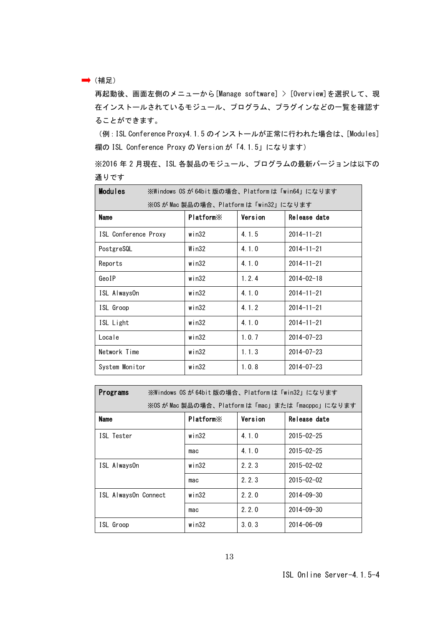→ (補足)

再起動後、画面左側のメニューから[Manage software] > [Overview]を選択して、現 在インストールされているモジュール、プログラム、プラグインなどの一覧を確認す ることができます。

(例:ISL Conference Proxy4.1.5 のインストールが正常に行われた場合は、[Modules] 欄の ISL Conference Proxy の Version が「4.1.5」になります)

※2016 年 2 月現在、ISL 各製品のモジュール、プログラムの最新バージョンは以下の 通りです

| <b>Modules</b>       | ※Windows OSが64bit版の場合、Platformは「win64」になります |                       |         |                  |  |  |
|----------------------|---------------------------------------------|-----------------------|---------|------------------|--|--|
|                      | ※OS が Mac 製品の場合、Platform は「win32」になります      |                       |         |                  |  |  |
| <b>Name</b>          |                                             | Platform <sup>×</sup> | Version | Release date     |  |  |
| ISL Conference Proxy |                                             | win32                 | 4.1.5   | $2014 - 11 - 21$ |  |  |
| PostgreSQL           |                                             | Win32                 | 4.1.0   | $2014 - 11 - 21$ |  |  |
| Reports              |                                             | win32                 | 4.1.0   | $2014 - 11 - 21$ |  |  |
| GeoIP                |                                             | win32                 | 1, 2, 4 | $2014 - 02 - 18$ |  |  |
| ISL AlwaysOn         |                                             | win32                 | 4.1.0   | $2014 - 11 - 21$ |  |  |
| ISL Groop            |                                             | win32                 | 4.1.2   | $2014 - 11 - 21$ |  |  |
| ISL Light            |                                             | win32                 | 4.1.0   | $2014 - 11 - 21$ |  |  |
| Locale               |                                             | win32                 | 1, 0, 7 | $2014 - 07 - 23$ |  |  |
| Network Time         |                                             | win32                 | 1, 1, 3 | $2014 - 07 - 23$ |  |  |
| System Monitor       |                                             | $w$ in $32$           | 1.0.8   | $2014 - 07 - 23$ |  |  |

| Programs                                        | ※Windows OSが 64bit 版の場合、Platformは「win32」になります |         |                  |  |  |  |
|-------------------------------------------------|-----------------------------------------------|---------|------------------|--|--|--|
| ※OS が Mac 製品の場合、Platform は「mac」または「macppc」になります |                                               |         |                  |  |  |  |
| <b>Name</b>                                     | Platform <sup>×</sup>                         | Version | Release date     |  |  |  |
| ISL Tester                                      | win32                                         | 4.1.0   | $2015 - 02 - 25$ |  |  |  |
|                                                 | mac                                           | 4.1.0   | $2015 - 02 - 25$ |  |  |  |
| ISL AlwaysOn                                    | $w$ in $32$                                   | 2.2.3   | $2015 - 02 - 02$ |  |  |  |
|                                                 | mac                                           | 2.2.3   | $2015 - 02 - 02$ |  |  |  |
| ISL AlwaysOn Connect                            | win32                                         | 2.2.0   | $2014 - 09 - 30$ |  |  |  |
|                                                 | mac                                           | 2.2.0   | $2014 - 09 - 30$ |  |  |  |
| ISL Groop                                       | win32                                         | 3.0.3   | $2014 - 06 - 09$ |  |  |  |